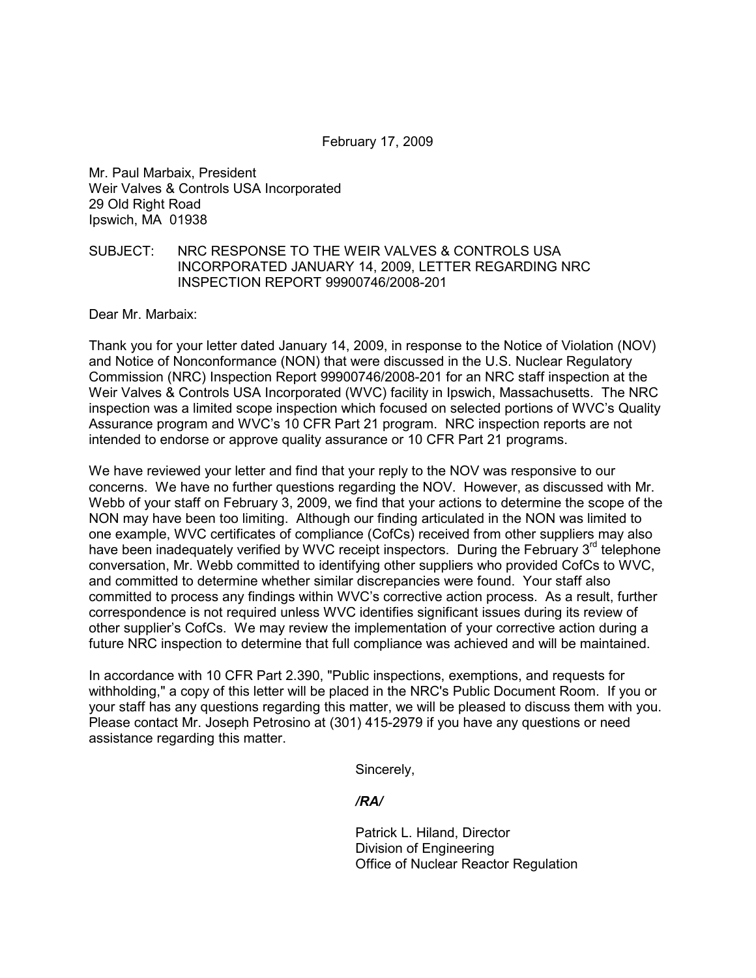## February 17, 2009

Mr. Paul Marbaix, President Weir Valves & Controls USA Incorporated 29 Old Right Road Ipswich, MA 01938

## SUBJECT: NRC RESPONSE TO THE WEIR VALVES & CONTROLS USA INCORPORATED JANUARY 14, 2009, LETTER REGARDING NRC INSPECTION REPORT 99900746/2008-201

Dear Mr. Marbaix:

Thank you for your letter dated January 14, 2009, in response to the Notice of Violation (NOV) and Notice of Nonconformance (NON) that were discussed in the U.S. Nuclear Regulatory Commission (NRC) Inspection Report 99900746/2008-201 for an NRC staff inspection at the Weir Valves & Controls USA Incorporated (WVC) facility in Ipswich, Massachusetts. The NRC inspection was a limited scope inspection which focused on selected portions of WVC's Quality Assurance program and WVC's 10 CFR Part 21 program. NRC inspection reports are not intended to endorse or approve quality assurance or 10 CFR Part 21 programs.

We have reviewed your letter and find that your reply to the NOV was responsive to our concerns. We have no further questions regarding the NOV. However, as discussed with Mr. Webb of your staff on February 3, 2009, we find that your actions to determine the scope of the NON may have been too limiting. Although our finding articulated in the NON was limited to one example, WVC certificates of compliance (CofCs) received from other suppliers may also have been inadequately verified by WVC receipt inspectors. During the February  $3<sup>rd</sup>$  telephone conversation, Mr. Webb committed to identifying other suppliers who provided CofCs to WVC, and committed to determine whether similar discrepancies were found. Your staff also committed to process any findings within WVC's corrective action process. As a result, further correspondence is not required unless WVC identifies significant issues during its review of other supplier's CofCs. We may review the implementation of your corrective action during a future NRC inspection to determine that full compliance was achieved and will be maintained.

In accordance with 10 CFR Part 2.390, "Public inspections, exemptions, and requests for withholding," a copy of this letter will be placed in the NRC's Public Document Room. If you or your staff has any questions regarding this matter, we will be pleased to discuss them with you. Please contact Mr. Joseph Petrosino at (301) 415-2979 if you have any questions or need assistance regarding this matter.

Sincerely,

 */RA/* 

 Patrick L. Hiland, Director Division of Engineering Office of Nuclear Reactor Regulation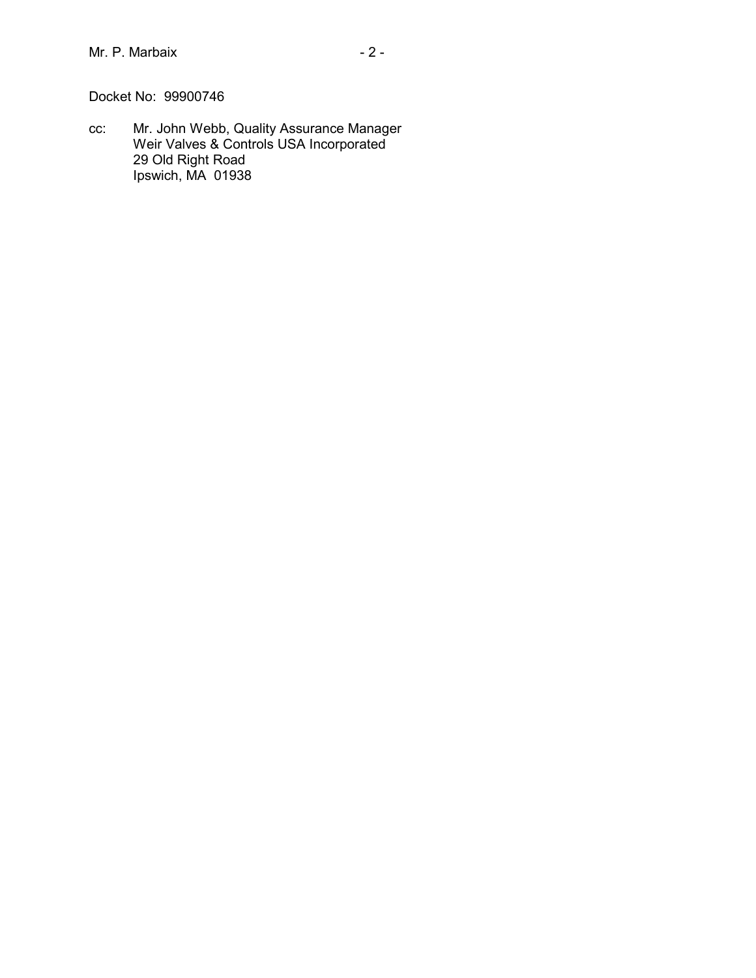Docket No: 99900746

cc: Mr. John Webb, Quality Assurance Manager Weir Valves & Controls USA Incorporated 29 Old Right Road Ipswich, MA 01938